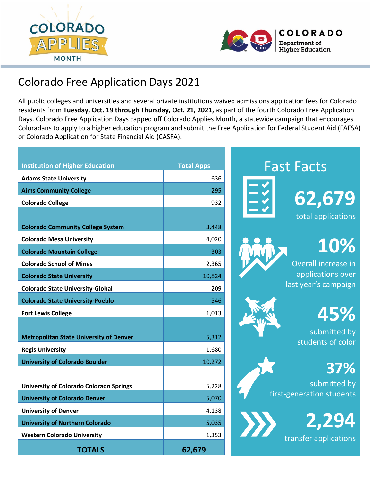



# Colorado Free Application Days 2021

All public colleges and universities and several private institutions waived admissions application fees for Colorado residents from **Tuesday, Oct. 19 through Thursday, Oct. 21, 2021,** as part of the fourth Colorado Free Application Days. Colorado Free Application Days capped off Colorado Applies Month, a statewide campaign that encourages Coloradans to apply to a higher education program and submit the Free Application for Federal Student Aid (FAFSA) or Colorado Application for State Financial Aid (CASFA).

| <b>Institution of Higher Education</b>                                    | <b>Total Apps</b> |
|---------------------------------------------------------------------------|-------------------|
| <b>Adams State University</b>                                             | 636               |
| <b>Aims Community College</b>                                             | 295               |
| <b>Colorado College</b>                                                   | 932               |
|                                                                           |                   |
| <b>Colorado Community College System</b>                                  | 3,448             |
| <b>Colorado Mesa University</b>                                           | 4,020             |
| <b>Colorado Mountain College</b>                                          | 303               |
| <b>Colorado School of Mines</b>                                           | 2,365             |
| <b>Colorado State University</b>                                          | 10,824            |
| <b>Colorado State University-Global</b>                                   | 209               |
| <b>Colorado State University-Pueblo</b>                                   | 546               |
| <b>Fort Lewis College</b>                                                 | 1,013             |
| <b>Metropolitan State University of Denver</b><br><b>Regis University</b> | 5,312<br>1,680    |
| <b>University of Colorado Boulder</b>                                     | 10,272            |
|                                                                           |                   |
| <b>University of Colorado Colorado Springs</b>                            | 5,228             |
| <b>University of Colorado Denver</b>                                      | 5,070             |
| <b>University of Denver</b>                                               | 4,138             |
| <b>University of Northern Colorado</b>                                    | 5,035             |
| <b>Western Colorado University</b>                                        | 1,353             |
| <b>TOTALS</b>                                                             | 62,679            |



Overall increase in applications over last year's campaign

**10%**

submitted by students of color

 **37%**

 **45%**

 submitted by first-generation students

> **2,294**transfer applications